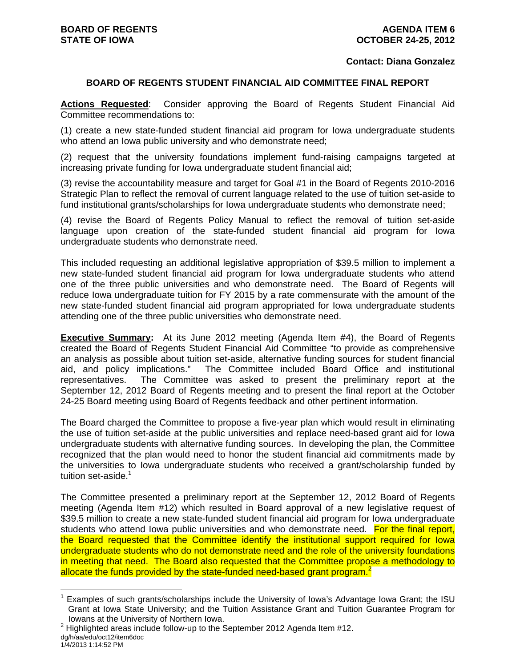#### **Contact: Diana Gonzalez**

#### **BOARD OF REGENTS STUDENT FINANCIAL AID COMMITTEE FINAL REPORT**

**Actions Requested**: Consider approving the Board of Regents Student Financial Aid Committee recommendations to:

(1) create a new state-funded student financial aid program for Iowa undergraduate students who attend an Iowa public university and who demonstrate need;

(2) request that the university foundations implement fund-raising campaigns targeted at increasing private funding for Iowa undergraduate student financial aid;

(3) revise the accountability measure and target for Goal #1 in the Board of Regents 2010-2016 Strategic Plan to reflect the removal of current language related to the use of tuition set-aside to fund institutional grants/scholarships for Iowa undergraduate students who demonstrate need;

(4) revise the Board of Regents Policy Manual to reflect the removal of tuition set-aside language upon creation of the state-funded student financial aid program for Iowa undergraduate students who demonstrate need.

This included requesting an additional legislative appropriation of \$39.5 million to implement a new state-funded student financial aid program for Iowa undergraduate students who attend one of the three public universities and who demonstrate need. The Board of Regents will reduce Iowa undergraduate tuition for FY 2015 by a rate commensurate with the amount of the new state-funded student financial aid program appropriated for Iowa undergraduate students attending one of the three public universities who demonstrate need.

**Executive Summary:** At its June 2012 meeting (Agenda Item #4), the Board of Regents created the Board of Regents Student Financial Aid Committee "to provide as comprehensive an analysis as possible about tuition set-aside, alternative funding sources for student financial aid, and policy implications." The Committee included Board Office and institutional representatives. The Committee was asked to present the preliminary report at the September 12, 2012 Board of Regents meeting and to present the final report at the October 24-25 Board meeting using Board of Regents feedback and other pertinent information.

The Board charged the Committee to propose a five-year plan which would result in eliminating the use of tuition set-aside at the public universities and replace need-based grant aid for Iowa undergraduate students with alternative funding sources. In developing the plan, the Committee recognized that the plan would need to honor the student financial aid commitments made by the universities to Iowa undergraduate students who received a grant/scholarship funded by tuition set-aside. $1$ 

The Committee presented a preliminary report at the September 12, 2012 Board of Regents meeting (Agenda Item #12) which resulted in Board approval of a new legislative request of \$39.5 million to create a new state-funded student financial aid program for Iowa undergraduate students who attend lowa public universities and who demonstrate need. For the final report, the Board requested that the Committee identify the institutional support required for Iowa undergraduate students who do not demonstrate need and the role of the university foundations in meeting that need. The Board also requested that the Committee propose a methodology to allocate the funds provided by the state-funded need-based grant program.<sup>2</sup>

 $\overline{a}$ 

<sup>&</sup>lt;sup>1</sup> Examples of such grants/scholarships include the University of Iowa's Advantage Iowa Grant; the ISU Grant at Iowa State University; and the Tuition Assistance Grant and Tuition Guarantee Program for Iowans at the University of Northern Iowa. 2

dg/h/aa/edu/oct12/item6doc 1/4/2013 1:14:52 PM  $2$  Highlighted areas include follow-up to the September 2012 Agenda Item #12.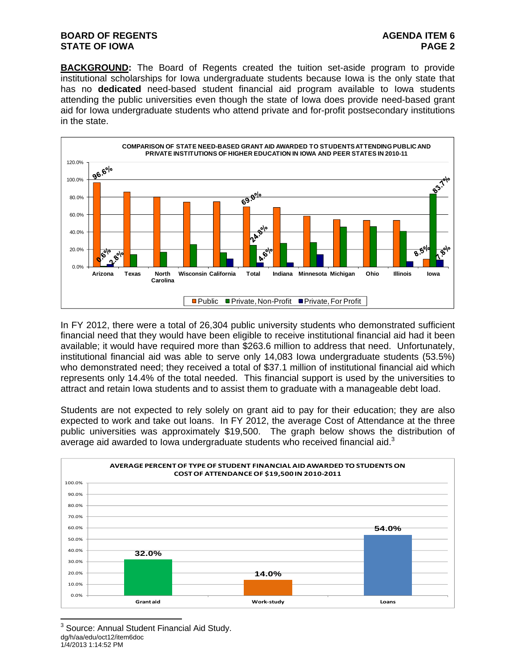### **BOARD OF REGENTS AGENTS** AGENDA ITEM 6 **STATE OF IOWA** PAGE 2

**BACKGROUND:** The Board of Regents created the tuition set-aside program to provide institutional scholarships for Iowa undergraduate students because Iowa is the only state that has no **dedicated** need-based student financial aid program available to Iowa students attending the public universities even though the state of Iowa does provide need-based grant aid for Iowa undergraduate students who attend private and for-profit postsecondary institutions in the state.



In FY 2012, there were a total of 26,304 public university students who demonstrated sufficient financial need that they would have been eligible to receive institutional financial aid had it been available; it would have required more than \$263.6 million to address that need. Unfortunately, institutional financial aid was able to serve only 14,083 Iowa undergraduate students (53.5%) who demonstrated need; they received a total of \$37.1 million of institutional financial aid which represents only 14.4% of the total needed. This financial support is used by the universities to attract and retain Iowa students and to assist them to graduate with a manageable debt load.

Students are not expected to rely solely on grant aid to pay for their education; they are also expected to work and take out loans. In FY 2012, the average Cost of Attendance at the three public universities was approximately \$19,500. The graph below shows the distribution of average aid awarded to lowa undergraduate students who received financial aid.<sup>3</sup>



dg/h/aa/edu/oct12/item6doc 1/4/2013 1:14:52 PM 3 Source: Annual Student Financial Aid Study.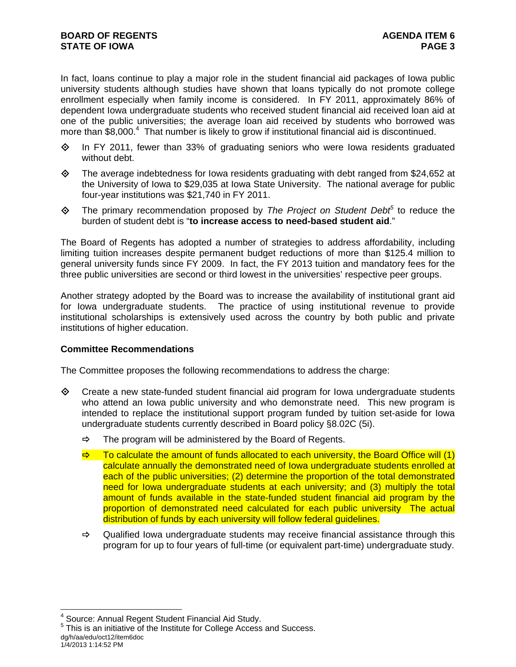In fact, loans continue to play a major role in the student financial aid packages of Iowa public university students although studies have shown that loans typically do not promote college enrollment especially when family income is considered. In FY 2011, approximately 86% of dependent Iowa undergraduate students who received student financial aid received loan aid at one of the public universities; the average loan aid received by students who borrowed was more than  $$8,000$ .<sup>4</sup> That number is likely to grow if institutional financial aid is discontinued.

- $\diamond$  In FY 2011, fewer than 33% of graduating seniors who were lowa residents graduated without debt.
- $\Diamond$  The average indebtedness for Iowa residents graduating with debt ranged from \$24,652 at the University of Iowa to \$29,035 at Iowa State University. The national average for public four-year institutions was \$21,740 in FY 2011.
- ◆ The primary recommendation proposed by *The Project on Student Debt*<sup>5</sup> to reduce the burden of student debt is "**to increase access to need-based student aid**."

The Board of Regents has adopted a number of strategies to address affordability, including limiting tuition increases despite permanent budget reductions of more than \$125.4 million to general university funds since FY 2009. In fact, the FY 2013 tuition and mandatory fees for the three public universities are second or third lowest in the universities' respective peer groups.

Another strategy adopted by the Board was to increase the availability of institutional grant aid for Iowa undergraduate students. The practice of using institutional revenue to provide institutional scholarships is extensively used across the country by both public and private institutions of higher education.

#### **Committee Recommendations**

The Committee proposes the following recommendations to address the charge:

- $\Diamond$  Create a new state-funded student financial aid program for lowa undergraduate students who attend an Iowa public university and who demonstrate need. This new program is intended to replace the institutional support program funded by tuition set-aside for Iowa undergraduate students currently described in Board policy §8.02C (5i).
	- $\Rightarrow$  The program will be administered by the Board of Regents.
	- $\Rightarrow$  To calculate the amount of funds allocated to each university, the Board Office will (1) calculate annually the demonstrated need of Iowa undergraduate students enrolled at each of the public universities; (2) determine the proportion of the total demonstrated need for Iowa undergraduate students at each university; and (3) multiply the total amount of funds available in the state-funded student financial aid program by the proportion of demonstrated need calculated for each public university The actual distribution of funds by each university will follow federal quidelines.
	- $\Rightarrow$  Qualified Iowa undergraduate students may receive financial assistance through this program for up to four years of full-time (or equivalent part-time) undergraduate study.

1/4/2013 1:14:52 PM

 $\overline{a}$ 

<sup>&</sup>lt;sup>4</sup> Source: Annual Regent Student Financial Aid Study.

dg/h/aa/edu/oct12/item6doc <sup>5</sup> This is an initiative of the Institute for College Access and Success.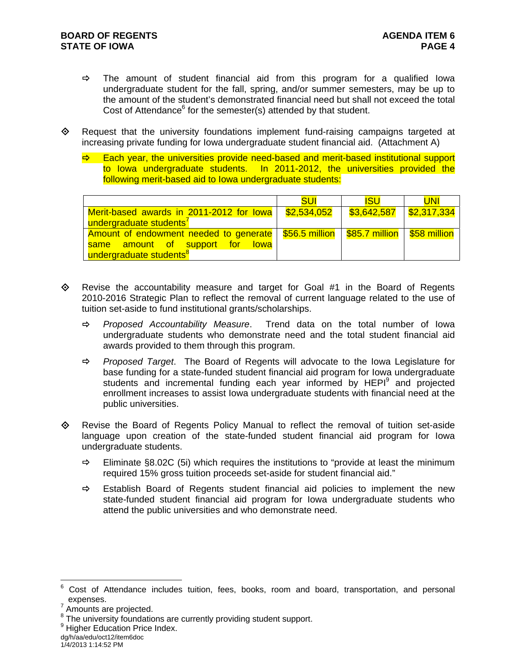- $\Rightarrow$  The amount of student financial aid from this program for a qualified lowa undergraduate student for the fall, spring, and/or summer semesters, may be up to the amount of the student's demonstrated financial need but shall not exceed the total Cost of Attendance $6$  for the semester(s) attended by that student.
- Request that the university foundations implement fund-raising campaigns targeted at increasing private funding for Iowa undergraduate student financial aid. (Attachment A)
	- Each year, the universities provide need-based and merit-based institutional support to Iowa undergraduate students. In 2011-2012, the universities provided the following merit-based aid to Iowa undergraduate students:

|                                                                                         | <b>SUI</b>  | <b>ISU</b>                | <b>UNI</b> |
|-----------------------------------------------------------------------------------------|-------------|---------------------------|------------|
| Merit-based awards in 2011-2012 for lowa                                                | \$2,534,052 | $$3,642,587$ $$2,317,334$ |            |
| undergraduate students <sup>7</sup>                                                     |             |                           |            |
| Amount of endowment needed to generate   \$56.5 million   \$85.7 million   \$58 million |             |                           |            |
| same amount of support for lowa                                                         |             |                           |            |
| undergraduate students <sup>8</sup>                                                     |             |                           |            |

- $\diamond$  Revise the accountability measure and target for Goal #1 in the Board of Regents 2010-2016 Strategic Plan to reflect the removal of current language related to the use of tuition set-aside to fund institutional grants/scholarships.
	- *Proposed Accountability Measure*. Trend data on the total number of Iowa undergraduate students who demonstrate need and the total student financial aid awards provided to them through this program.
	- *Proposed Target*. The Board of Regents will advocate to the Iowa Legislature for base funding for a state-funded student financial aid program for Iowa undergraduate students and incremental funding each year informed by HEPI<sup>9</sup> and projected enrollment increases to assist Iowa undergraduate students with financial need at the public universities.
- $\Leftrightarrow$  Revise the Board of Regents Policy Manual to reflect the removal of tuition set-aside language upon creation of the state-funded student financial aid program for Iowa undergraduate students.
	- $\Rightarrow$  Eliminate §8.02C (5i) which requires the institutions to "provide at least the minimum required 15% gross tuition proceeds set-aside for student financial aid."
	- $\Rightarrow$  Establish Board of Regents student financial aid policies to implement the new state-funded student financial aid program for Iowa undergraduate students who attend the public universities and who demonstrate need.

 $\overline{a}$ 

<sup>6</sup> Cost of Attendance includes tuition, fees, books, room and board, transportation, and personal expenses.<br><sup>7</sup> Amounts are projected.

<sup>&</sup>lt;sup>8</sup> The university foundations are currently providing student support.

<sup>&</sup>lt;sup>9</sup> Higher Education Price Index.

dg/h/aa/edu/oct12/item6doc 1/4/2013 1:14:52 PM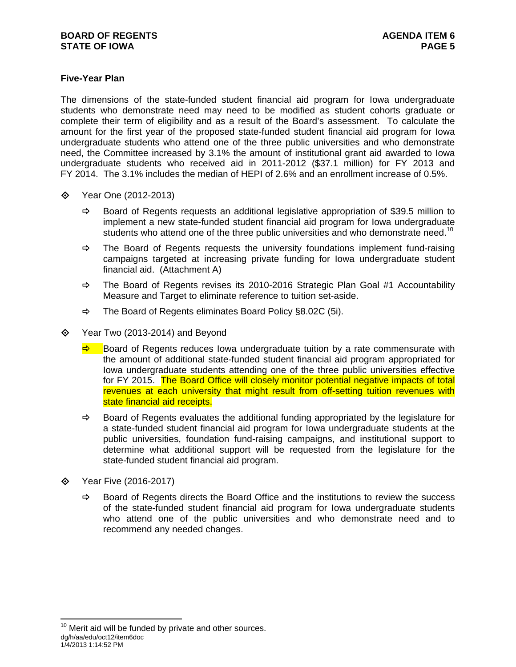# **Five-Year Plan**

The dimensions of the state-funded student financial aid program for Iowa undergraduate students who demonstrate need may need to be modified as student cohorts graduate or complete their term of eligibility and as a result of the Board's assessment. To calculate the amount for the first year of the proposed state-funded student financial aid program for Iowa undergraduate students who attend one of the three public universities and who demonstrate need, the Committee increased by 3.1% the amount of institutional grant aid awarded to Iowa undergraduate students who received aid in 2011-2012 (\$37.1 million) for FY 2013 and FY 2014. The 3.1% includes the median of HEPI of 2.6% and an enrollment increase of 0.5%.

- Year One (2012-2013)
	- $\Rightarrow$  Board of Regents requests an additional legislative appropriation of \$39.5 million to implement a new state-funded student financial aid program for Iowa undergraduate students who attend one of the three public universities and who demonstrate need.<sup>10</sup>
	- $\Rightarrow$  The Board of Regents requests the university foundations implement fund-raising campaigns targeted at increasing private funding for Iowa undergraduate student financial aid. (Attachment A)
	- $\Rightarrow$  The Board of Regents revises its 2010-2016 Strategic Plan Goal #1 Accountability Measure and Target to eliminate reference to tuition set-aside.
	- $\Rightarrow$  The Board of Regents eliminates Board Policy §8.02C (5i).
- $\diamond$  Year Two (2013-2014) and Beyond
	- $\Rightarrow$  Board of Regents reduces Iowa undergraduate tuition by a rate commensurate with the amount of additional state-funded student financial aid program appropriated for Iowa undergraduate students attending one of the three public universities effective for FY 2015. The Board Office will closely monitor potential negative impacts of total revenues at each university that might result from off-setting tuition revenues with state financial aid receipts.
	- $\Rightarrow$  Board of Regents evaluates the additional funding appropriated by the legislature for a state-funded student financial aid program for Iowa undergraduate students at the public universities, foundation fund-raising campaigns, and institutional support to determine what additional support will be requested from the legislature for the state-funded student financial aid program.
- **♦ Year Five (2016-2017)**

 $\overline{a}$ 

 $\Rightarrow$  Board of Regents directs the Board Office and the institutions to review the success of the state-funded student financial aid program for Iowa undergraduate students who attend one of the public universities and who demonstrate need and to recommend any needed changes.

dg/h/aa/edu/oct12/item6doc 1/4/2013 1:14:52 PM  $10$  Merit aid will be funded by private and other sources.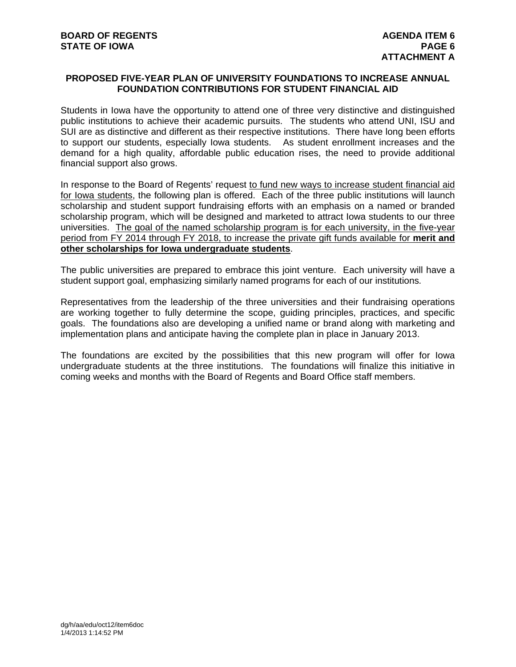## **PROPOSED FIVE-YEAR PLAN OF UNIVERSITY FOUNDATIONS TO INCREASE ANNUAL FOUNDATION CONTRIBUTIONS FOR STUDENT FINANCIAL AID**

Students in Iowa have the opportunity to attend one of three very distinctive and distinguished public institutions to achieve their academic pursuits. The students who attend UNI, ISU and SUI are as distinctive and different as their respective institutions. There have long been efforts to support our students, especially Iowa students. As student enrollment increases and the demand for a high quality, affordable public education rises, the need to provide additional financial support also grows.

In response to the Board of Regents' request to fund new ways to increase student financial aid for Iowa students, the following plan is offered. Each of the three public institutions will launch scholarship and student support fundraising efforts with an emphasis on a named or branded scholarship program, which will be designed and marketed to attract Iowa students to our three universities. The goal of the named scholarship program is for each university, in the five-year period from FY 2014 through FY 2018, to increase the private gift funds available for **merit and other scholarships for Iowa undergraduate students**.

The public universities are prepared to embrace this joint venture. Each university will have a student support goal, emphasizing similarly named programs for each of our institutions*.* 

Representatives from the leadership of the three universities and their fundraising operations are working together to fully determine the scope, guiding principles, practices, and specific goals. The foundations also are developing a unified name or brand along with marketing and implementation plans and anticipate having the complete plan in place in January 2013.

The foundations are excited by the possibilities that this new program will offer for Iowa undergraduate students at the three institutions. The foundations will finalize this initiative in coming weeks and months with the Board of Regents and Board Office staff members.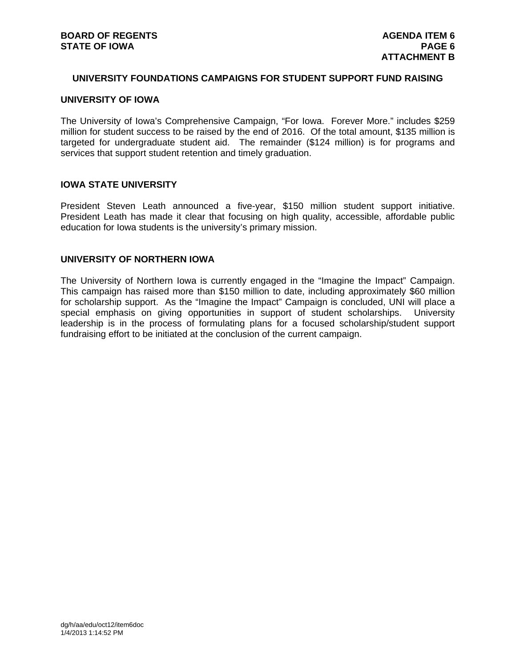#### **UNIVERSITY FOUNDATIONS CAMPAIGNS FOR STUDENT SUPPORT FUND RAISING**

## **UNIVERSITY OF IOWA**

The University of Iowa's Comprehensive Campaign, "For Iowa. Forever More." includes \$259 million for student success to be raised by the end of 2016. Of the total amount, \$135 million is targeted for undergraduate student aid. The remainder (\$124 million) is for programs and services that support student retention and timely graduation.

#### **IOWA STATE UNIVERSITY**

President Steven Leath announced a five-year, \$150 million student support initiative. President Leath has made it clear that focusing on high quality, accessible, affordable public education for Iowa students is the university's primary mission.

### **UNIVERSITY OF NORTHERN IOWA**

The University of Northern Iowa is currently engaged in the "Imagine the Impact" Campaign. This campaign has raised more than \$150 million to date, including approximately \$60 million for scholarship support. As the "Imagine the Impact" Campaign is concluded, UNI will place a special emphasis on giving opportunities in support of student scholarships. University leadership is in the process of formulating plans for a focused scholarship/student support fundraising effort to be initiated at the conclusion of the current campaign.